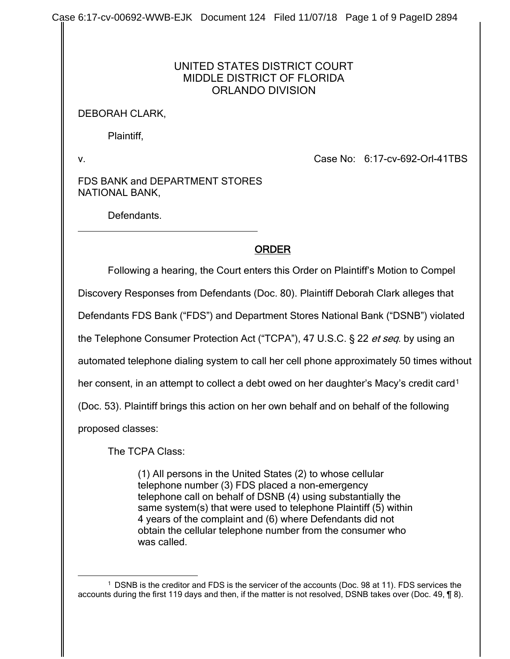Case 6:17-cv-00692-WWB-EJK Document 124 Filed 11/07/18 Page 1 of 9 PageID 2894

## UNITED STATES DISTRICT COURT MIDDLE DISTRICT OF FLORIDA ORLANDO DIVISION

## DEBORAH CLARK,

Plaintiff,

v. Case No: 6:17-cv-692-Orl-41TBS

FDS BANK and DEPARTMENT STORES NATIONAL BANK,

Defendants.

## ORDER

Following a hearing, the Court enters this Order on Plaintiff's Motion to Compel

Discovery Responses from Defendants (Doc. 80). Plaintiff Deborah Clark alleges that

Defendants FDS Bank ("FDS") and Department Stores National Bank ("DSNB") violated

the Telephone Consumer Protection Act ("TCPA"), 47 U.S.C. § 22 et seq. by using an

automated telephone dialing system to call her cell phone approximately 50 times without

her consent, in an attempt to collect a debt owed on her daughter's Macy's credit card<sup>[1](#page-0-0)</sup>

(Doc. 53). Plaintiff brings this action on her own behalf and on behalf of the following

proposed classes:

The TCPA Class:

(1) All persons in the United States (2) to whose cellular telephone number (3) FDS placed a non-emergency telephone call on behalf of DSNB (4) using substantially the same system(s) that were used to telephone Plaintiff (5) within 4 years of the complaint and (6) where Defendants did not obtain the cellular telephone number from the consumer who was called.

<span id="page-0-0"></span> <sup>1</sup> DSNB is the creditor and FDS is the servicer of the accounts (Doc. 98 at 11). FDS services the accounts during the first 119 days and then, if the matter is not resolved, DSNB takes over (Doc. 49, ¶ 8).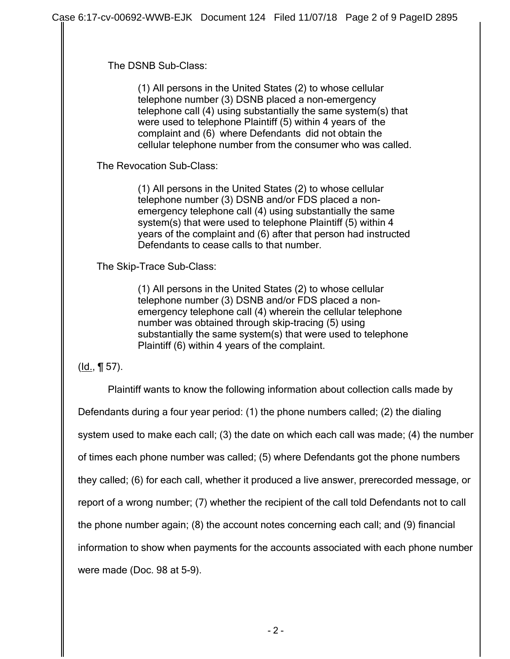The DSNB Sub-Class:

(1) All persons in the United States (2) to whose cellular telephone number (3) DSNB placed a non-emergency telephone call (4) using substantially the same system(s) that were used to telephone Plaintiff (5) within 4 years of the complaint and (6) where Defendants did not obtain the cellular telephone number from the consumer who was called.

The Revocation Sub-Class:

(1) All persons in the United States (2) to whose cellular telephone number (3) DSNB and/or FDS placed a nonemergency telephone call (4) using substantially the same system(s) that were used to telephone Plaintiff (5) within 4 years of the complaint and (6) after that person had instructed Defendants to cease calls to that number.

The Skip-Trace Sub-Class:

(1) All persons in the United States (2) to whose cellular telephone number (3) DSNB and/or FDS placed a nonemergency telephone call (4) wherein the cellular telephone number was obtained through skip-tracing (5) using substantially the same system(s) that were used to telephone Plaintiff (6) within 4 years of the complaint.

(Id., ¶ 57).

Plaintiff wants to know the following information about collection calls made by Defendants during a four year period: (1) the phone numbers called; (2) the dialing system used to make each call; (3) the date on which each call was made; (4) the number of times each phone number was called; (5) where Defendants got the phone numbers they called; (6) for each call, whether it produced a live answer, prerecorded message, or report of a wrong number; (7) whether the recipient of the call told Defendants not to call the phone number again; (8) the account notes concerning each call; and (9) financial information to show when payments for the accounts associated with each phone number were made (Doc. 98 at 5-9).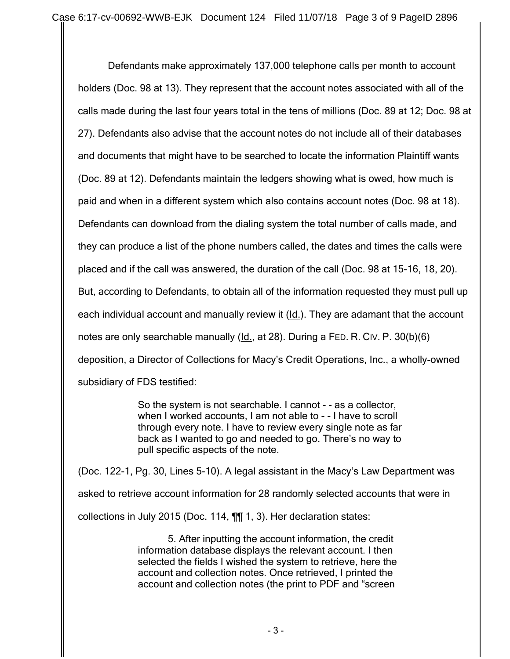Defendants make approximately 137,000 telephone calls per month to account holders (Doc. 98 at 13). They represent that the account notes associated with all of the calls made during the last four years total in the tens of millions (Doc. 89 at 12; Doc. 98 at 27). Defendants also advise that the account notes do not include all of their databases and documents that might have to be searched to locate the information Plaintiff wants (Doc. 89 at 12). Defendants maintain the ledgers showing what is owed, how much is paid and when in a different system which also contains account notes (Doc. 98 at 18). Defendants can download from the dialing system the total number of calls made, and they can produce a list of the phone numbers called, the dates and times the calls were placed and if the call was answered, the duration of the call (Doc. 98 at 15-16, 18, 20). But, according to Defendants, to obtain all of the information requested they must pull up each individual account and manually review it (Id.). They are adamant that the account notes are only searchable manually (Id., at 28). During a FED. R. CIV. P. 30(b)(6) deposition, a Director of Collections for Macy's Credit Operations, Inc., a wholly-owned subsidiary of FDS testified:

> So the system is not searchable. I cannot - - as a collector, when I worked accounts, I am not able to - - I have to scroll through every note. I have to review every single note as far back as I wanted to go and needed to go. There's no way to pull specific aspects of the note.

(Doc. 122-1, Pg. 30, Lines 5-10). A legal assistant in the Macy's Law Department was asked to retrieve account information for 28 randomly selected accounts that were in collections in July 2015 (Doc. 114, ¶¶ 1, 3). Her declaration states:

> 5. After inputting the account information, the credit information database displays the relevant account. I then selected the fields I wished the system to retrieve, here the account and collection notes. Once retrieved, I printed the account and collection notes (the print to PDF and "screen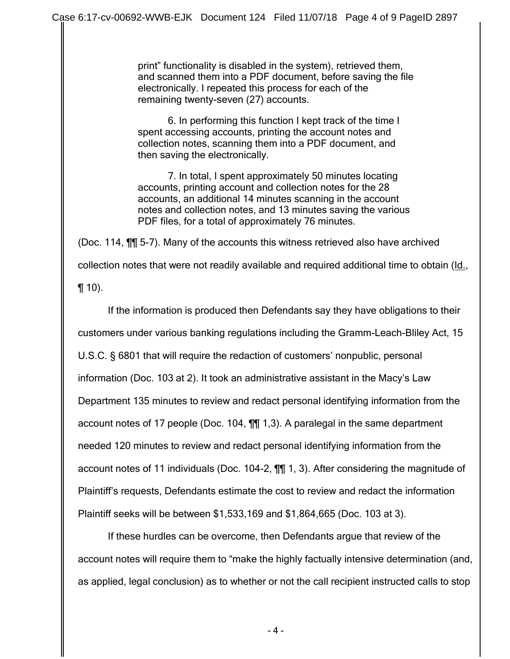print" functionality is disabled in the system), retrieved them, and scanned them into a PDF document, before saving the file electronically. I repeated this process for each of the remaining twenty-seven (27) accounts.

6. In performing this function I kept track of the time I spent accessing accounts, printing the account notes and collection notes, scanning them into a PDF document, and then saving the electronically.

7. In total, I spent approximately 50 minutes locating accounts, printing account and collection notes for the 28 accounts, an additional 14 minutes scanning in the account notes and collection notes, and 13 minutes saving the various PDF files, for a total of approximately 76 minutes.

(Doc. 114, ¶¶ 5-7). Many of the accounts this witness retrieved also have archived collection notes that were not readily available and required additional time to obtain (Id.,  $\P(10)$ .

If the information is produced then Defendants say they have obligations to their customers under various banking regulations including the Gramm-Leach-Bliley Act, 15 U.S.C. § 6801 that will require the redaction of customers' nonpublic, personal information (Doc. 103 at 2). It took an administrative assistant in the Macy's Law Department 135 minutes to review and redact personal identifying information from the account notes of 17 people (Doc. 104, ¶¶ 1,3). A paralegal in the same department needed 120 minutes to review and redact personal identifying information from the account notes of 11 individuals (Doc. 104-2, ¶¶ 1, 3). After considering the magnitude of Plaintiff's requests, Defendants estimate the cost to review and redact the information Plaintiff seeks will be between \$1,533,169 and \$1,864,665 (Doc. 103 at 3).

If these hurdles can be overcome, then Defendants argue that review of the account notes will require them to "make the highly factually intensive determination (and, as applied, legal conclusion) as to whether or not the call recipient instructed calls to stop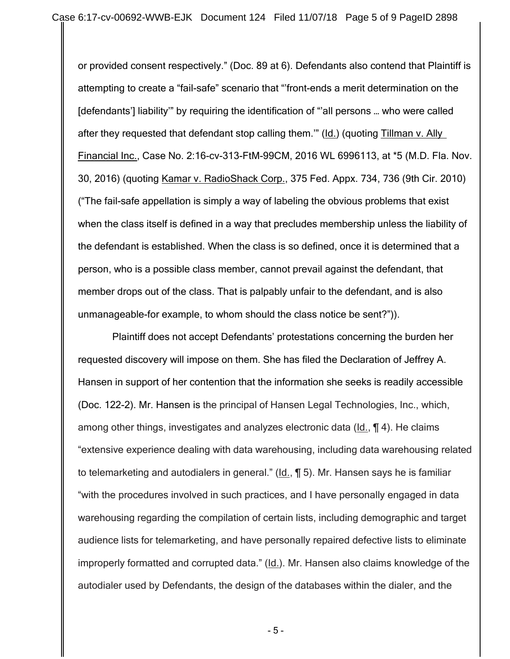or provided consent respectively." (Doc. 89 at 6). Defendants also contend that Plaintiff is attempting to create a "fail-safe" scenario that "'front-ends a merit determination on the [defendants'] liability'" by requiring the identification of "'all persons … who were called after they requested that defendant stop calling them.'" (Id.) (quoting Tillman v. Ally Financial Inc., Case No. 2:16-cv-313-FtM-99CM, 2016 WL 6996113, at \*5 (M.D. Fla. Nov. 30, 2016) (quoting Kamar v. RadioShack Corp., 375 Fed. Appx. 734, 736 (9th Cir. 2010) ("The fail-safe appellation is simply a way of labeling the obvious problems that exist when the class itself is defined in a way that precludes membership unless the liability of the defendant is established. When the class is so defined, once it is determined that a person, who is a possible class member, cannot prevail against the defendant, that member drops out of the class. That is palpably unfair to the defendant, and is also unmanageable-for example, to whom should the class notice be sent?")).

Plaintiff does not accept Defendants' protestations concerning the burden her requested discovery will impose on them. She has filed the Declaration of Jeffrey A. Hansen in support of her contention that the information she seeks is readily accessible (Doc. 122-2). Mr. Hansen is the principal of Hansen Legal Technologies, Inc., which, among other things, investigates and analyzes electronic data (Id., ¶ 4). He claims "extensive experience dealing with data warehousing, including data warehousing related to telemarketing and autodialers in general." (Id., ¶ 5). Mr. Hansen says he is familiar "with the procedures involved in such practices, and I have personally engaged in data warehousing regarding the compilation of certain lists, including demographic and target audience lists for telemarketing, and have personally repaired defective lists to eliminate improperly formatted and corrupted data." (Id.). Mr. Hansen also claims knowledge of the autodialer used by Defendants, the design of the databases within the dialer, and the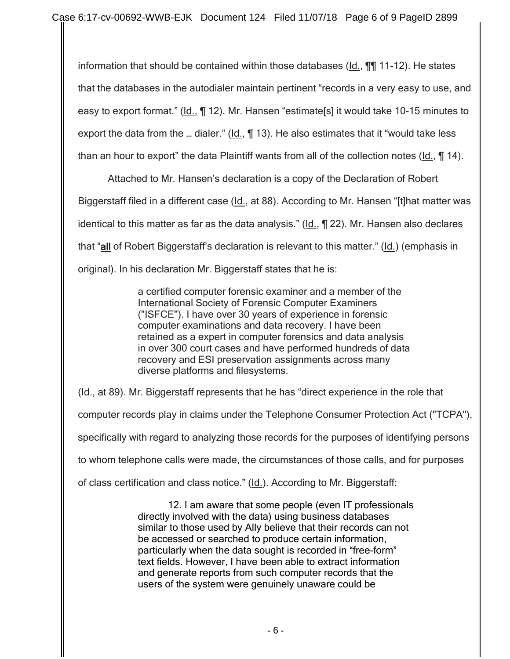information that should be contained within those databases ( $Id.$ ,  $\P\P$  11-12). He states that the databases in the autodialer maintain pertinent "records in a very easy to use, and easy to export format." (Id., ¶ 12). Mr. Hansen "estimate[s] it would take 10-15 minutes to export the data from the ... dialer." (Id., ¶ 13). He also estimates that it "would take less than an hour to export" the data Plaintiff wants from all of the collection notes (Id., ¶ 14).

Attached to Mr. Hansen's declaration is a copy of the Declaration of Robert Biggerstaff filed in a different case (Id., at 88). According to Mr. Hansen "[t]hat matter was identical to this matter as far as the data analysis." (Id., ¶ 22). Mr. Hansen also declares that "all of Robert Biggerstaff's declaration is relevant to this matter." (Id.) (emphasis in original). In his declaration Mr. Biggerstaff states that he is:

> a certified computer forensic examiner and a member of the International Society of Forensic Computer Examiners ("ISFCE"). I have over 30 years of experience in forensic computer examinations and data recovery. I have been retained as a expert in computer forensics and data analysis in over 300 court cases and have performed hundreds of data recovery and ESI preservation assignments across many diverse platforms and filesystems.

(Id., at 89). Mr. Biggerstaff represents that he has "direct experience in the role that computer records play in claims under the Telephone Consumer Protection Act ("TCPA"), specifically with regard to analyzing those records for the purposes of identifying persons to whom telephone calls were made, the circumstances of those calls, and for purposes of class certification and class notice." (Id.). According to Mr. Biggerstaff:

> 12. I am aware that some people (even IT professionals directly involved with the data) using business databases similar to those used by Ally believe that their records can not be accessed or searched to produce certain information, particularly when the data sought is recorded in "free-form" text fields. However, I have been able to extract information and generate reports from such computer records that the users of the system were genuinely unaware could be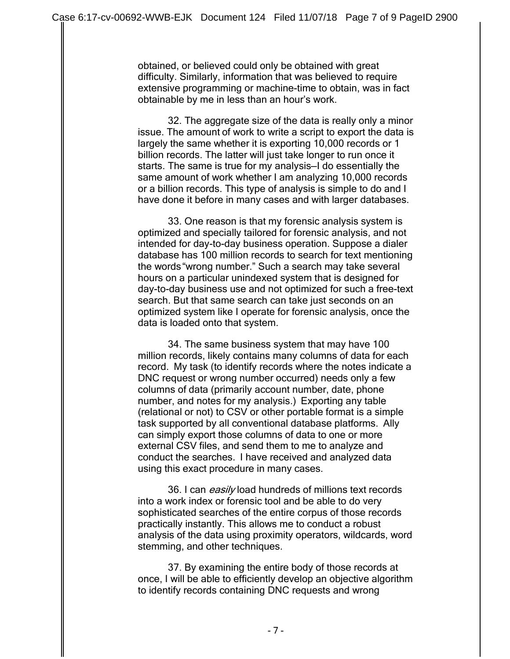obtained, or believed could only be obtained with great difficulty. Similarly, information that was believed to require extensive programming or machine-time to obtain, was in fact obtainable by me in less than an hour's work.

32. The aggregate size of the data is really only a minor issue. The amount of work to write a script to export the data is largely the same whether it is exporting 10,000 records or 1 billion records. The latter will just take longer to run once it starts. The same is true for my analysis—I do essentially the same amount of work whether I am analyzing 10,000 records or a billion records. This type of analysis is simple to do and I have done it before in many cases and with larger databases.

33. One reason is that my forensic analysis system is optimized and specially tailored for forensic analysis, and not intended for day-to-day business operation. Suppose a dialer database has 100 million records to search for text mentioning the words"wrong number." Such a search may take several hours on a particular unindexed system that is designed for day-to-day business use and not optimized for such a free-text search. But that same search can take just seconds on an optimized system like I operate for forensic analysis, once the data is loaded onto that system.

34. The same business system that may have 100 million records, likely contains many columns of data for each record. My task (to identify records where the notes indicate a DNC request or wrong number occurred) needs only a few columns of data (primarily account number, date, phone number, and notes for my analysis.) Exporting any table (relational or not) to CSV or other portable format is a simple task supported by all conventional database platforms. Ally can simply export those columns of data to one or more external CSV files, and send them to me to analyze and conduct the searches. I have received and analyzed data using this exact procedure in many cases.

36. I can easily load hundreds of millions text records into a work index or forensic tool and be able to do very sophisticated searches of the entire corpus of those records practically instantly. This allows me to conduct a robust analysis of the data using proximity operators, wildcards, word stemming, and other techniques.

37. By examining the entire body of those records at once, I will be able to efficiently develop an objective algorithm to identify records containing DNC requests and wrong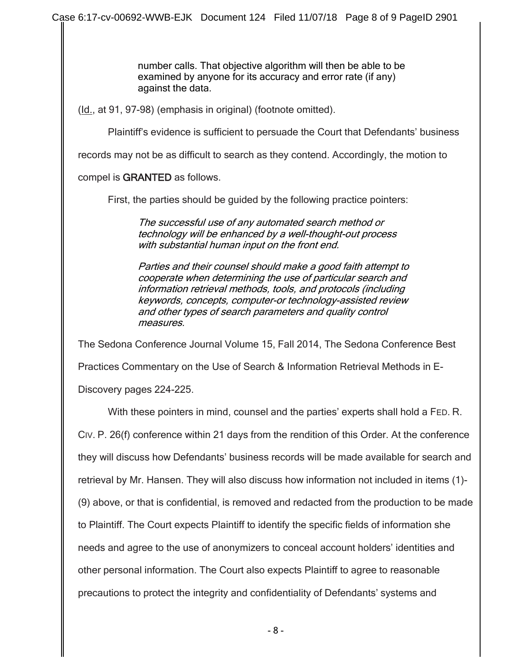number calls. That objective algorithm will then be able to be examined by anyone for its accuracy and error rate (if any) against the data.

(Id., at 91, 97-98) (emphasis in original) (footnote omitted).

Plaintiff's evidence is sufficient to persuade the Court that Defendants' business

records may not be as difficult to search as they contend. Accordingly, the motion to

## compel is GRANTED as follows.

First, the parties should be guided by the following practice pointers:

The successful use of any automated search method or technology will be enhanced by a well-thought-out process with substantial human input on the front end.

Parties and their counsel should make a good faith attempt to cooperate when determining the use of particular search and information retrieval methods, tools, and protocols (including keywords, concepts, computer-or technology-assisted review and other types of search parameters and quality control measures.

The Sedona Conference Journal Volume 15, Fall 2014, The Sedona Conference Best Practices Commentary on the Use of Search & Information Retrieval Methods in E-Discovery pages 224-225.

With these pointers in mind, counsel and the parties' experts shall hold a FED. R. CIV. P. 26(f) conference within 21 days from the rendition of this Order. At the conference they will discuss how Defendants' business records will be made available for search and retrieval by Mr. Hansen. They will also discuss how information not included in items (1)- (9) above, or that is confidential, is removed and redacted from the production to be made to Plaintiff. The Court expects Plaintiff to identify the specific fields of information she needs and agree to the use of anonymizers to conceal account holders' identities and other personal information. The Court also expects Plaintiff to agree to reasonable precautions to protect the integrity and confidentiality of Defendants' systems and